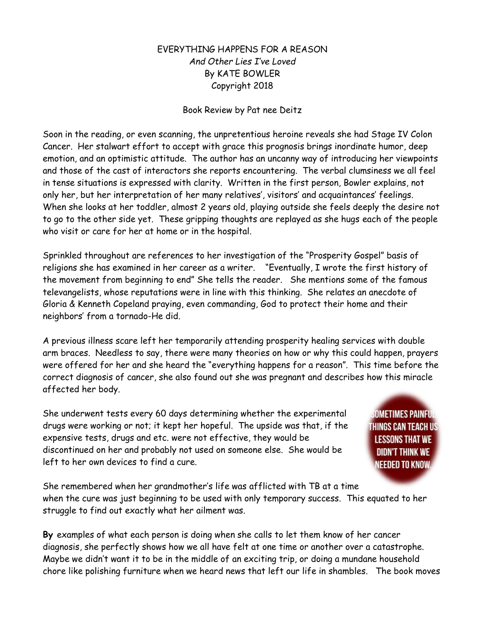## EVERYTHING HAPPENS FOR A REASON *And Other Lies I've Loved* By KATE BOWLER Copyright 2018

## Book Review by Pat nee Deitz

Soon in the reading, or even scanning, the unpretentious heroine reveals she had Stage IV Colon Cancer. Her stalwart effort to accept with grace this prognosis brings inordinate humor, deep emotion, and an optimistic attitude. The author has an uncanny way of introducing her viewpoints and those of the cast of interactors she reports encountering. The verbal clumsiness we all feel in tense situations is expressed with clarity. Written in the first person, Bowler explains, not only her, but her interpretation of her many relatives', visitors' and acquaintances' feelings. When she looks at her toddler, almost 2 years old, playing outside she feels deeply the desire not to go to the other side yet. These gripping thoughts are replayed as she hugs each of the people who visit or care for her at home or in the hospital.

Sprinkled throughout are references to her investigation of the "Prosperity Gospel" basis of religions she has examined in her career as a writer. "Eventually, I wrote the first history of the movement from beginning to end" She tells the reader. She mentions some of the famous televangelists, whose reputations were in line with this thinking. She relates an anecdote of Gloria & Kenneth Copeland praying, even commanding, God to protect their home and their neighbors' from a tornado-He did.

A previous illness scare left her temporarily attending prosperity healing services with double arm braces. Needless to say, there were many theories on how or why this could happen, prayers were offered for her and she heard the "everything happens for a reason". This time before the correct diagnosis of cancer, she also found out she was pregnant and describes how this miracle affected her body.

She underwent tests every 60 days determining whether the experimental drugs were working or not; it kept her hopeful. The upside was that, if the expensive tests, drugs and etc. were not effective, they would be discontinued on her and probably not used on someone else. She would be left to her own devices to find a cure.

Sometimes Painfu THINGS CAN TEACH US **LESSONS THAT WE DIDN'T THINK WE** NEEDED TO KNOW.

She remembered when her grandmother's life was afflicted with TB at a time when the cure was just beginning to be used with only temporary success. This equated to her struggle to find out exactly what her ailment was.

**By** examples of what each person is doing when she calls to let them know of her cancer diagnosis, she perfectly shows how we all have felt at one time or another over a catastrophe. Maybe we didn't want it to be in the middle of an exciting trip, or doing a mundane household chore like polishing furniture when we heard news that left our life in shambles. The book moves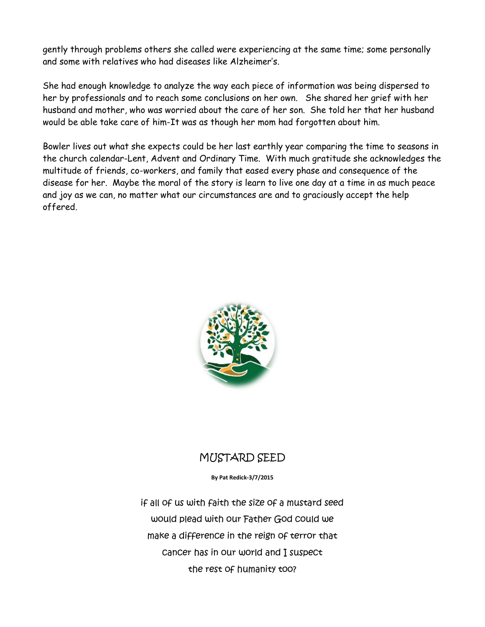gently through problems others she called were experiencing at the same time; some personally and some with relatives who had diseases like Alzheimer's.

She had enough knowledge to analyze the way each piece of information was being dispersed to her by professionals and to reach some conclusions on her own. She shared her grief with her husband and mother, who was worried about the care of her son. She told her that her husband would be able take care of him-It was as though her mom had forgotten about him.

Bowler lives out what she expects could be her last earthly year comparing the time to seasons in the church calendar-Lent, Advent and Ordinary Time. With much gratitude she acknowledges the multitude of friends, co-workers, and family that eased every phase and consequence of the disease for her. Maybe the moral of the story is learn to live one day at a time in as much peace and joy as we can, no matter what our circumstances are and to graciously accept the help offered.



## MUSTARD SEED

**By Pat Redick-3/7/2015**

if all of us with faith the size of a mustard seed would plead with our Father God could we make a difference in the reign of terror that cancer has in our world and I suspect the rest of humanity too?